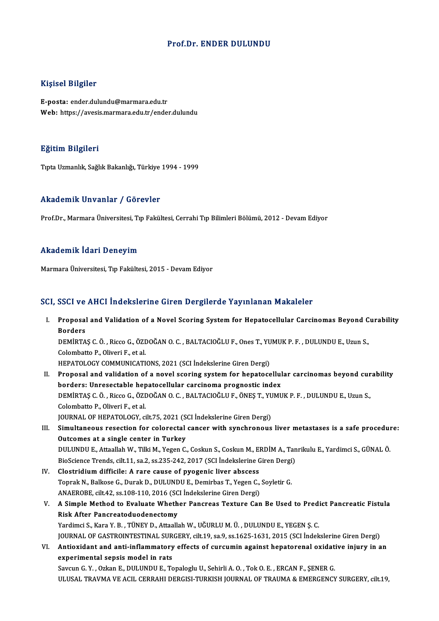## Prof.Dr. ENDER DULUNDU

## Kişisel Bilgiler

E-posta: ender.dulundu@marmara.edu.tr Web: https://avesis.marmara.edu.tr/ender.dulundu

## Eğitim Bilgileri

Tıpta Uzmanlık, Sağlık Bakanlığı, Türkiye 1994 - 1999

### Akademik Unvanlar / Görevler

Prof.Dr., Marmara Üniversitesi, Tıp Fakültesi, Cerrahi Tıp Bilimleri Bölümü, 2012 - Devam Ediyor

## Akademik İdari Deneyim

MarmaraÜniversitesi,Tıp Fakültesi,2015 -DevamEdiyor

## SCI, SSCI ve AHCI İndekslerine Giren Dergilerde Yayınlanan Makaleler

- I. SSCI ve AHCI İndekslerine Giren Dergilerde Yayınlanan Makaleler<br>I. Proposal and Validation of a Novel Scoring System for Hepatocellular Carcinomas Beyond Curability<br>Rordors DDDIVO<br>Proposal<br>Borders<br>DEMIPTA Proposal and Validation of a Novel Scoring System for Hepatocellular Carcinomas Beyond C<br>Borders<br>DEMİRTAŞ C. Ö. , Ricco G., ÖZDOĞAN O. C. , BALTACIOĞLU F., Ones T., YUMUK P. F. , DULUNDU E., Uzun S.,<br>Celembatte B. Oliveri Borders<br>DEMİRTAŞ C. Ö. , Ricco G., ÖZI<br>Colombatto P., Oliveri F., et al.<br>HERATOLOCY COMMUNICATI DEMİRTAŞ C. Ö. , Ricco G., ÖZDOĞAN O. C. , BALTACIOĞLU F., Ones T., YU<br>Colombatto P., Oliveri F., et al.<br>HEPATOLOGY COMMUNICATIONS, 2021 (SCI İndekslerine Giren Dergi)<br>Proposel and velidation of a povel seering system for Colombatto P., Oliveri F., et al.<br>HEPATOLOGY COMMUNICATIONS, 2021 (SCI İndekslerine Giren Dergi)<br>II. Proposal and validation of a novel scoring system for hepatocellular carcinomas beyond curability<br>herders: Unresectable h HEPATOLOGY COMMUNICATIONS, 2021 (SCI İndekslerine Giren Dergi)<br>Proposal and validation of a novel scoring system for hepatocellul<br>borders: Unresectable hepatocellular carcinoma prognostic index<br>DEMIPTAS C.Ö. Pisce C.ÖZDOČA Proposal and validation of a novel scoring system for hepatocellular carcinomas beyond cur<br>borders: Unresectable hepatocellular carcinoma prognostic index<br>DEMİRTAŞ C. Ö. , Ricco G., ÖZDOĞAN O. C. , BALTACIOĞLU F., ÖNEŞ T., borders: Unresectable hepatocellular carcinoma prognostic index<br>DEMİRTAŞ C. Ö. , Ricco G., ÖZDOĞAN O. C. , BALTACIOĞLU F., ÖNEŞ T., YUMUK P. F. , DULUNDU E., Uzun S.,<br>Colombatto P., Oliveri F., et al.
- DEMİRTAŞ C. Ö. , Ricco G., ÖZDOĞAN O. C. , BALTACIOĞLU F., ÖNEŞ T., YU<br>Colombatto P., Oliveri F., et al.<br>JOURNAL OF HEPATOLOGY, cilt.75, 2021 (SCI İndekslerine Giren Dergi)<br>Simultanaous resestion for selerestel sansar with III. Simultaneous resection for colorectal cancer with synchronous liver metastases is a safe procedure:<br>Outcomes at a single center in Turkey JOURNAL OF HEPATOLOGY, cilt.75, 2021 (S<br>Simultaneous resection for colorectal<br>Outcomes at a single center in Turkey<br>DIJI UNDU E. Attallab W. Tilli M. Yegen C Simultaneous resection for colorectal cancer with synchronous liver metastases is a safe procedui<br>Outcomes at a single center in Turkey<br>DULUNDU E., Attaallah W., Tilki M., Yegen C., Coskun S., Coskun M., ERDİM A., Tanrikul Outcomes at a single center in Turkey<br>DULUNDU E., Attaallah W., Tilki M., Yegen C., Coskun S., Coskun M., ERDİM A., Tan<br>BioScience Trends, cilt.11, sa.2, ss.235-242, 2017 (SCI İndekslerine Giren Dergi)<br>Clostridium difficil DULUNDU E., Attaallah W., Tilki M., Yegen C., Coskun S., Coskun M., El<br>BioScience Trends, cilt.11, sa.2, ss.235-242, 2017 (SCI İndekslerine C<br>IV. Clostridium difficile: A rare cause of pyogenic liver abscess<br>Tenrak N. Balk
- BioScience Trends, cilt.11, sa.2, ss.235-242, 2017 (SCI İndekslerine Giren Dergi)<br>Clostridium difficile: A rare cause of pyogenic liver abscess<br>Toprak N., Balkose G., Durak D., DULUNDU E., Demirbas T., Yegen C., Soyletir G Clostridium difficile: A rare cause of pyogenic liver abscess<br>Toprak N., Balkose G., Durak D., DULUNDU E., Demirbas T., Yegen C.,<br>ANAEROBE, cilt.42, ss.108-110, 2016 (SCI İndekslerine Giren Dergi)<br>A Simple Mathod to Evolua Toprak N., Balkose G., Durak D., DULUNDU E., Demirbas T., Yegen C., Soyletir G.<br>ANAEROBE, cilt.42, ss.108-110, 2016 (SCI İndekslerine Giren Dergi)<br>V. A Simple Method to Evaluate Whether Pancreas Texture Can Be Used to Pred
- ANAEROBE, cilt.42, ss.108-110, 2016 (SC<br>A Simple Method to Evaluate Wheth<br>Risk After Pancreatoduodenectomy<br>Vardimei S, Kare V, P., TÜNEV D, Attaall A Simple Method to Evaluate Whether Pancreas Texture Can Be Used to Pred:<br>Risk After Pancreatoduodenectomy<br>Yardimci S., Kara Y. B. , TÜNEY D., Attaallah W., UĞURLU M. Ü. , DULUNDU E., YEGEN Ş. C.<br>JOUPMAL OF CASTPOINTESTINA Risk After Pancreatoduodenectomy<br>Yardimci S., Kara Y. B. , TÜNEY D., Attaallah W., UĞURLU M. Ü. , DULUNDU E., YEGEN Ş. C.<br>JOURNAL OF GASTROINTESTINAL SURGERY, cilt.19, sa.9, ss.1625-1631, 2015 (SCI İndekslerine Giren Dergi Yardimci S., Kara Y. B. , TÜNEY D., Attaallah W., UĞURLU M. Ü. , DULUNDU E., YEGEN Ş. C.<br>JOURNAL OF GASTROINTESTINAL SURGERY, cilt.19, sa.9, ss.1625-1631, 2015 (SCI İndekslerine Giren Dergi)<br>VI. Antioxidant and anti-inflam
- JOURNAL OF GASTROINTESTINAL SUR<br>Antioxidant and anti-inflammatory<br>experimental sepsis model in rats<br>Seveur C. X., Orkan E. DULUNDU E. To VI. Antioxidant and anti-inflammatory effects of curcumin against hepatorenal oxidative injury in an experimental sepsis model in rats<br>Savcun G.Y., Ozkan E., DULUNDU E., Topaloglu U., Sehirli A. O., Tok O. E., ERCAN F., ŞE

ULUSAL TRAVMA VE ACIL CERRAHI DERGISI-TURKISH JOURNAL OF TRAUMA & EMERGENCY SURGERY, cilt.19,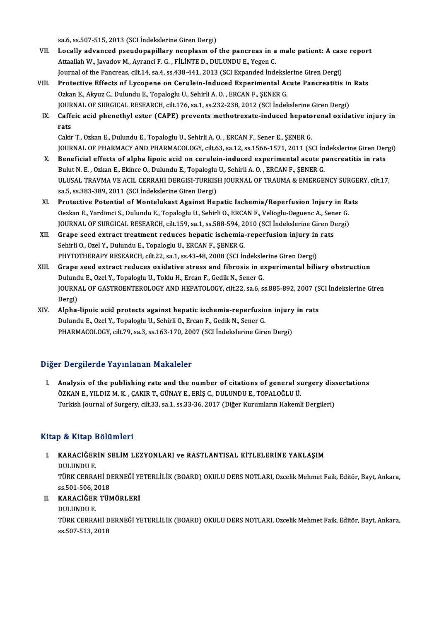sa.6, ss.507-515, 2013 (SCI İndekslerine Giren Dergi)

- sa.6, ss.507-515, 2013 (SCI indekslerine Giren Dergi)<br>VII. Locally advanced pseudopapillary neoplasm of the pancreas in a male patient: A case report sa.6, ss.507-515, 2013 (SCI İndekslerine Giren Dergi)<br>Locally advanced pseudopapillary neoplasm of the pancreas in a<br>Attaallah W., Javadov M., Ayranci F. G. , FİLİNTE D., DULUNDU E., Yegen C.<br>Journal of the Penereas, silt Locally advanced pseudopapillary neoplasm of the pancreas in a male patient: A cas<br>Attaallah W., Javadov M., Ayranci F. G. , FİLİNTE D., DULUNDU E., Yegen C.<br>Journal of the Pancreas, cilt.14, sa.4, ss.438-441, 2013 (SCI Ex Attaallah W., Javadov M., Ayranci F. G. , FILINTE D., DULUNDU E., Yegen C.<br>Journal of the Pancreas, cilt.14, sa.4, ss.438-441, 2013 (SCI Expanded Indekslerine Giren Dergi)<br>VIII. Protective Effects of Lycopene on Cerulein-I
- Journal of the Pancreas, cilt.14, sa.4, ss.438-441, 2013 (SCI Expanded Indekslerine Giren Dergi)<br>Protective Effects of Lycopene on Cerulein-Induced Experimental Acute Pancreatitis<br>Ozkan E., Akyuz C., Dulundu E., Topaloglu Protective Effects of Lycopene on Cerulein-Induced Experimental Acute Pancreatitis in<br>Ozkan E., Akyuz C., Dulundu E., Topaloglu U., Sehirli A. O. , ERCAN F., ŞENER G.<br>JOURNAL OF SURGICAL RESEARCH, cilt.176, sa.1, ss.232-23 JOURNAL OF SURGICAL RESEARCH, cilt.176, sa.1, ss.232-238, 2012 (SCI Indekslerine Giren Dergi)
- IX. Caffeic acid phenethyl ester (CAPE) prevents methotrexate-induced hepatorenal oxidative injury in rats

Cakir T., Ozkan E., Dulundu E., Topaloglu U., Sehirli A. O., ERCAN F., Sener E., ŞENER G. rats<br>Cakir T., Ozkan E., Dulundu E., Topaloglu U., Sehirli A. O. , ERCAN F., Sener E., ŞENER G.<br>JOURNAL OF PHARMACY AND PHARMACOLOGY, cilt.63, sa.12, ss.1566-1571, 2011 (SCI İndekslerine Giren Dergi)<br>Penafisial affasta of

- X. Beneficial effects of alpha lipoic acid on cerulein-induced experimental acute pancreatitis in rats JOURNAL OF PHARMACY AND PHARMACOLOGY, cilt.63, sa.12, ss.1566-1571, 2011 (SCI İn<br>Beneficial effects of alpha lipoic acid on cerulein-induced experimental acute p<br>Bulut N. E. , Ozkan E., Ekince O., Dulundu E., Topaloglu U., Beneficial effects of alpha lipoic acid on cerulein-induced experimental acute pancreatitis in rats<br>Bulut N. E. , Ozkan E., Ekince O., Dulundu E., Topaloglu U., Sehirli A. O. , ERCAN F., ŞENER G.<br>ULUSAL TRAVMA VE ACIL CERR Bulut N. E. , Ozkan E., Ekince O., Dulundu E., Topaloglu<br>ULUSAL TRAVMA VE ACIL CERRAHI DERGISI-TURKIS<br>sa.5, ss.383-389, 2011 (SCI İndekslerine Giren Dergi)<br>Protective Petential of Menteluliaet Ageinst Her ULUSAL TRAVMA VE ACIL CERRAHI DERGISI-TURKISH JOURNAL OF TRAUMA & EMERGENCY SURGE<br>sa.5, ss.383-389, 2011 (SCI Indekslerine Giren Dergi)<br>XI. Protective Potential of Montelukast Against Hepatic Ischemia/Reperfusion Injury in
- sa.5, ss.383-389, 2011 (SCI İndekslerine Giren Dergi)<br>Protective Potential of Montelukast Against Hepatic Ischemia/Reperfusion Injury in Ra<br>Oezkan E., Yardimci S., Dulundu E., Topaloglu U., Sehirli O., ERCAN F., Velioglu-O Protective Potential of Montelukast Against Hepatic Ischemia/Reperfusion Injury in Ra<br>Oezkan E., Yardimci S., Dulundu E., Topaloglu U., Sehirli O., ERCAN F., Velioglu-Oeguenc A., Sener G.<br>JOURNAL OF SURGICAL RESEARCH, cilt Oezkan E., Yardimci S., Dulundu E., Topaloglu U., Sehirli O., ERCAN F., Velioglu-Oeguenc A., Sen<br>JOURNAL OF SURGICAL RESEARCH, cilt.159, sa.1, ss.588-594, 2010 (SCI Indekslerine Giren D.<br>XII. Grape seed extract treatment r
- JOURNAL OF SURGICAL RESEARCH, cilt.159, sa.1, ss.588-594, 2<br>Grape seed extract treatment reduces hepatic ischemia-<br>Sehirli O., Ozel Y., Dulundu E., Topaloglu U., ERCAN F., ŞENER G.<br>PHYTOTHERAPY RESEARCH, silt 22, sa.1, sa. Grape seed extract treatment reduces hepatic ischemia-reperfusion injury in<br>Sehirli O., Ozel Y., Dulundu E., Topaloglu U., ERCAN F., ŞENER G.<br>PHYTOTHERAPY RESEARCH, cilt.22, sa.1, ss.43-48, 2008 (SCI İndekslerine Giren Der Sehirli O., Ozel Y., Dulundu E., Topaloglu U., ERCAN F., ŞENER G.<br>PHYTOTHERAPY RESEARCH, cilt.22, sa.1, ss.43-48, 2008 (SCI İndekslerine Giren Dergi)<br>XIII. Grape seed extract reduces oxidative stress and fibrosis in experi
- PHYTOTHERAPY RESEARCH, cilt.22, sa.1, ss.43-48, 2008 (SCI İndeksle<br>Grape seed extract reduces oxidative stress and fibrosis in ex<br>Dulundu E., Ozel Y., Topaloglu U., Toklu H., Ercan F., Gedik N., Sener G.<br>JOUPMAL OF CASTPOE Grape seed extract reduces oxidative stress and fibrosis in experimental biliary obstruction<br>Dulundu E., Ozel Y., Topaloglu U., Toklu H., Ercan F., Gedik N., Sener G.<br>JOURNAL OF GASTROENTEROLOGY AND HEPATOLOGY, cilt.22, sa Dulund<br>JOURN<br>Dergi)<br>Alpha JOURNAL OF GASTROENTEROLOGY AND HEPATOLOGY, cilt.22, sa.6, ss.885-892, 2007 (S<br>Dergi)<br>XIV. Alpha-lipoic acid protects against hepatic ischemia-reperfusion injury in rats<br>Dulundu E. Ogal Y. Tepeleglu U. Sebirli Q. Ersen E.
- Dergi)<br><mark>Alpha-lipoic acid protects against hepatic ischemia-reperfusio</mark><br>Dulundu E., Ozel Y., Topaloglu U., Sehirli O., Ercan F., Gedik N., Sener G.<br>PHAPMACOLOCY, silt 79, se 3, se 163, 170, 2007 (SCL Indekskripe Gire Alpha-lipoic acid protects against hepatic ischemia-reperfusion injury<br>Dulundu E., Ozel Y., Topaloglu U., Sehirli O., Ercan F., Gedik N., Sener G.<br>PHARMACOLOGY, cilt.79, sa.3, ss.163-170, 2007 (SCI İndekslerine Giren Dergi PHARMACOLOGY, cilt.79, sa.3, ss.163-170, 2007 (SCI İndekslerine Giren Dergi)<br>Diğer Dergilerde Yayınlanan Makaleler

I. Analysis of the publishing rate and the number of citations of general surgery dissertations ÖZKAN E., YILDIZ M.K., ÇAKIR T., GÜNAY E., ERİŞ C., DULUNDU E., TOPALOĞLU Ü. Turkish Journal of Surgery, cilt.33, sa.1, ss.33-36, 2017 (Diğer Kurumların Hakemli Dergileri)

# Kitap & Kitap Bölümleri

İtap & Kitap Bölümleri<br>I. KARACİĞERİN SELİM LEZYONLARI ve RASTLANTISAL KİTLELERİNE YAKLAŞIM<br>DIJI UNDU E p & III.ap<br>KARACİĞER<br>DULUNDU E.<br>TÜRK CERRA KARACİĞERİN SELİM LEZYONLARI ve RASTLANTISAL KİTLELERİNE YAKLAŞIM<br>DULUNDU E.<br>TÜRK CERRAHİ DERNEĞİ YETERLİLİK (BOARD) OKULU DERS NOTLARI, Ozcelik Mehmet Faik, Editör, Bayt, Ankara,<br>99 E01 E06 2018

DULUNDU E.<br>TÜRK CERRAHİ DI<br>ss.501-506, 2018<br>KARACİČER TÜN ss 501-506, 2018

- II. KARACİĞER TÜMÖRLERİ<br>DULUNDU E.
	-

KARACİĞER TÜMÖRLERİ<br>DULUNDU E.<br>TÜRK CERRAHİ DERNEĞİ YETERLİLİK (BOARD) OKULU DERS NOTLARI, Ozcelik Mehmet Faik, Editör, Bayt, Ankara, DULUNDU E.<br>TÜRK CERRAHİ DI<br>ss.507-513, 2018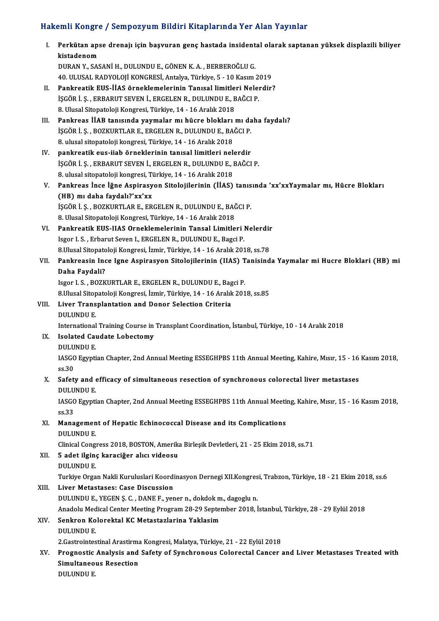# Hakemli Kongre / Sempozyum Bildiri Kitaplarında Yer Alan Yayınlar<br>''

| Hakemli Kongre / Sempozyum Bildiri Kitaplarında Yer Alan Yayınlar |                                                                                                                                                                                    |
|-------------------------------------------------------------------|------------------------------------------------------------------------------------------------------------------------------------------------------------------------------------|
| L.                                                                | Perkütan apse drenajı için başvuran genç hastada insidental olarak saptanan yüksek displazili biliyer<br>kistadenom<br>DURAN Y., SASANİ H., DULUNDU E., GÖNEN K. A., BERBEROĞLU G. |
|                                                                   | 40. ULUSAL RADYOLOJİ KONGRESİ, Antalya, Türkiye, 5 - 10 Kasım 2019                                                                                                                 |
| Н.                                                                | Pankreatik EUS-İİAS örneklemelerinin Tanısal limitleri Nelerdir?                                                                                                                   |
|                                                                   | İŞGÖR İ. Ş., ERBARUT SEVEN İ., ERGELEN R., DULUNDU E., BAĞCI P.                                                                                                                    |
|                                                                   | 8. Ulusal Sitopatoloji Kongresi, Türkiye, 14 - 16 Aralık 2018                                                                                                                      |
| III.                                                              | Pankreas İİAB tanısında yaymalar mı hücre blokları mı daha faydalı?                                                                                                                |
|                                                                   | İŞGÖR İ. Ş., BOZKURTLAR E., ERGELEN R., DULUNDU E., BAĞCI P.                                                                                                                       |
|                                                                   | 8. ulusal sitopatoloji kongresi, Türkiye, 14 - 16 Aralık 2018                                                                                                                      |
| IV.                                                               | pankreatik eus-iiab örneklerinin tanısal limitleri nelerdir                                                                                                                        |
|                                                                   | İŞGÖR İ. Ş., ERBARUT SEVEN İ., ERGELEN R., DULUNDU E., BAĞCI P.                                                                                                                    |
|                                                                   | 8. ulusal sitopatoloji kongresi, Türkiye, 14 - 16 Aralık 2018                                                                                                                      |
| V.                                                                | Pankreas İnce İğne Aspirasyon Sitolojilerinin (İİAS) tanısında 'xx'xxYaymalar mı, Hücre Blokları                                                                                   |
|                                                                   | (HB) mi daha faydalı?'xx'xx                                                                                                                                                        |
|                                                                   | İŞGÖR İ. Ş., BOZKURTLAR E., ERGELEN R., DULUNDU E., BAĞCI P.<br>8. Ulusal Sitopatoloji Kongresi, Türkiye, 14 - 16 Aralık 2018                                                      |
| VI.                                                               | Pankreatik EUS-IIAS Orneklemelerinin Tansal Limitleri Nelerdir                                                                                                                     |
|                                                                   | Isgor I. S., Erbarut Seven I., ERGELEN R., DULUNDU E., Bagci P.                                                                                                                    |
|                                                                   | 8. Ulusal Sitopatoloji Kongresi, İzmir, Türkiye, 14 - 16 Aralık 2018, ss.78                                                                                                        |
| VII.                                                              | Pankreasin Ince Igne Aspirasyon Sitolojilerinin (IIAS) Tanisinda Yaymalar mi Hucre Bloklari (HB) mi                                                                                |
|                                                                   | Daha Faydali?                                                                                                                                                                      |
|                                                                   | Isgor I. S., BOZKURTLAR E., ERGELEN R., DULUNDU E., Bagci P.                                                                                                                       |
|                                                                   | 8 Ulusal Sitopatoloji Kongresi, İzmir, Türkiye, 14 - 16 Aralık 2018, ss.85                                                                                                         |
| VIII.                                                             | Liver Transplantation and Donor Selection Criteria                                                                                                                                 |
|                                                                   | <b>DULUNDU E.</b>                                                                                                                                                                  |
|                                                                   | International Training Course in Transplant Coordination, İstanbul, Türkiye, 10 - 14 Aralık 2018                                                                                   |
| IX.                                                               | <b>Isolated Caudate Lobectomy</b>                                                                                                                                                  |
|                                                                   | DULUNDU E.                                                                                                                                                                         |
|                                                                   | IASGO Egyptian Chapter, 2nd Annual Meeting ESSEGHPBS 11th Annual Meeting, Kahire, Misir, 15 - 16 Kasim 2018,                                                                       |
| X.                                                                | ss.30<br>Safety and efficacy of simultaneous resection of synchronous colorectal liver metastases                                                                                  |
|                                                                   | <b>DULUNDU E.</b>                                                                                                                                                                  |
|                                                                   | IASGO Egyptian Chapter, 2nd Annual Meeting ESSEGHPBS 11th Annual Meeting, Kahire, Mısır, 15 - 16 Kasım 2018,                                                                       |
|                                                                   | ss.33                                                                                                                                                                              |
| XI.                                                               | Management of Hepatic Echinococcal Disease and its Complications                                                                                                                   |
|                                                                   | <b>DULUNDU E.</b>                                                                                                                                                                  |
|                                                                   | Clinical Congress 2018, BOSTON, Amerika Birleşik Devletleri, 21 - 25 Ekim 2018, ss.71                                                                                              |
| XII.                                                              | 5 adet ilginç karaciğer alıcı videosu                                                                                                                                              |
|                                                                   | <b>DULUNDU E</b>                                                                                                                                                                   |
|                                                                   | Turkiye Organ Nakli Kuruluslari Koordinasyon Dernegi XII.Kongresi, Trabzon, Türkiye, 18 - 21 Ekim 2018, ss.6                                                                       |
| XIII.                                                             | Liver Metastases: Case Discussion                                                                                                                                                  |
|                                                                   | DULUNDU E., YEGEN Ş. C., DANE F., yener n., dokdok m., dagoglu n.                                                                                                                  |
|                                                                   | Anadolu Medical Center Meeting Program 28-29 September 2018, İstanbul, Türkiye, 28 - 29 Eylül 2018                                                                                 |
| XIV.                                                              | Senkron Kolorektal KC Metastazlarina Yaklasim                                                                                                                                      |
|                                                                   | <b>DULUNDU E.</b><br>2.Gastrointestinal Arastirma Kongresi, Malatya, Türkiye, 21 - 22 Eylül 2018                                                                                   |
| XV.                                                               | Prognostic Analysis and Safety of Synchronous Colorectal Cancer and Liver Metastases Treated with                                                                                  |
|                                                                   | <b>Simultaneous Resection</b>                                                                                                                                                      |
|                                                                   | <b>DULUNDU E.</b>                                                                                                                                                                  |
|                                                                   |                                                                                                                                                                                    |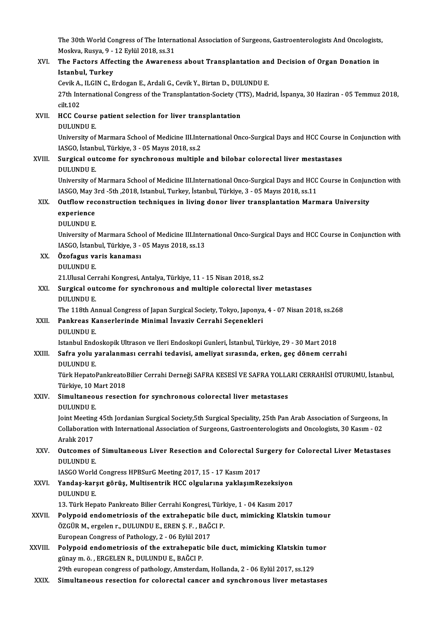The 30th World Congress of The International Association of Surgeons, Gastroenterologists And Oncologists,<br>Moslave Busya 0, 12 Frijil 2018, ss 31

# The 30th World Congress of The Intern<br>Moskva, Rusya, 9 - 12 Eylül 2018, ss.31<br>The Festars Affesting the Ausannes The 30th World Congress of The International Association of Surgeons, Gastroenterologists And Oncologists<br>Moskva, Rusya, 9 - 12 Eylül 2018, ss.31<br>XVI. The Factors Affecting the Awareness about Transplantation and Decision Moskva, Rusya, 9 -<br>The Factors Affe<br>Istanbul, Turkey<br>Cavil: A. H.C.N.C. E The Factors Affecting the Awareness about Transplantation an<br>Istanbul, Turkey<br>Cevik A., ILGIN C., Erdogan E., Ardali G., Cevik Y., Birtan D., DULUNDU E.<br>27th International Congress of the Transplantation Seciety (TTS), Med Istanbul, Turkey<br>Cevik A., ILGIN C., Erdogan E., Ardali G., Cevik Y., Birtan D., DULUNDU E.<br>27th International Congress of the Transplantation-Society (TTS), Madrid, İspanya, 30 Haziran - 05 Temmuz 2018,<br>cilt 102 Cevik A., ILGIN C., Erdogan E., Ardali G., Cevik Y., Birtan D., DULUNDU E.<br>27th International Congress of the Transplantation-Society (TTS), Madr<br>cilt.102 27th International Congress of the Transplantation-Society (T<br>cilt.102<br>XVII. HCC Course patient selection for liver transplantation<br>NIILINDUE HCC Course patient selection for liver transplantation<br>DULUNDU E. HCC Course patient selection for liver transplantation<br>DULUNDU E.<br>University of Marmara School of Medicine III.International Onco-Surgical Days and HCC Course in Conjunction with<br>LASCO Jetaphyl Türkiye 3 . 05 Mayıs 2018.ss DULUNDU E.<br>University of Marmara School of Medicine III.Inte<br>IASGO, İstanbul, Türkiye, 3 - 05 Mayıs 2018, ss.2<br>Surgical outsome for synghronous multinle University of Marmara School of Medicine III.International Onco-Surgical Days and HCC Course :<br>IASGO, İstanbul, Türkiye, 3 - 05 Mayıs 2018, ss.2<br>XVIII. Surgical outcome for synchronous multiple and bilobar colorectal liver IASGO, İstanbul, Türkiye, 3 - 05 Mayıs 2018, ss.2<br>XVIII. Surgical outcome for synchronous multiple and bilobar colorectal liver mestastases<br>DULUNDU E. Surgical outcome for synchronous multiple and bilobar colorectal liver mestastases<br>DULUNDU E.<br>University of Marmara School of Medicine III.International Onco-Surgical Days and HCC Course in Conjunction with<br>IASCO May 2rd, DULUNDU E.<br>University of Marmara School of Medicine III.International Onco-Surgical Days and HCC<br>IASGO, May 3rd -5th ,2018, Istanbul, Turkey, İstanbul, Türkiye, 3 - 05 Mayıs 2018, ss.11<br>Outflow recenstruction techniques in University of Marmara School of Medicine III.International Onco-Surgical Days and HCC Course in Conjun<br>IASGO, May 3rd -5th ,2018, Istanbul, Turkey, İstanbul, Türkiye, 3 - 05 Mayıs 2018, ss.11<br>XIX. Outflow reconstruction te IASGO, May 3rd -5th ,2018, Istanbul, Turkey, İstanbul, Türkiye, 3 - 05 Mayıs 2018, ss.11<br>Outflow reconstruction techniques in living donor liver transplantation Mari<br>experience<br>DULUNDU E. Outflow reconstruction techniques in living donor liver transplantation Marmara University University of Marmara School of Medicine III.International Onco-Surgical Days and HCC Course in Conjunction with DULUNDU E.<br>University of Marmara School of Medicine III.Inter<br>IASGO, İstanbul, Türkiye, 3 - 05 Mayıs 2018, ss.13<br>Önefesus varia kanaması XX. Özofagus varis kanaması IASGO, İstanb<br><mark>Özofagus va</mark><br>DULUNDU E.<br><sup>21 Ulusal Car</sub></sup> Özofagus varis kanaması<br>DULUNDU E.<br>21.Ulusal Cerrahi Kongresi, Antalya, Türkiye, 11 - 15 Nisan 2018, ss.2<br>Surgical outcome for sunshronous and multinle selerestel liv XXI. Surgical outcome for synchronous and multiple colorectal liver metastases<br>DULUNDU E. 21.Ulusal Cer<br>Surgical out<br>DULUNDU E.<br>The 119th Ar Surgical outcome for synchronous and multiple colorectal liver metastases<br>DULUNDU E.<br>The 118th Annual Congress of Japan Surgical Society, Tokyo, Japonya, 4 - 07 Nisan 2018, ss.268<br>Pankrees Kanserlarinde Minimal Invesiv Cer XXII. Pankreas Kanserlerinde Minimal İnvaziv Cerrahi Seçenekleri<br>DULUNDU E. The 118th Ar<br><mark>Pankreas K</mark><br>DULUNDU E.<br>Istanbul Ende Pankreas Kanserlerinde Minimal İnvaziv Cerrahi Seçenekleri<br>DULUNDU E.<br>Istanbul Endoskopik Ultrason ve Ileri Endoskopi Gunleri, İstanbul, Türkiye, 29 - 30 Mart 2018<br>Sefra volu yaralanması serrabi tedevisi, ameliyet sırasınd XXIII. Safra yolu yaralanması cerrahi tedavisi, ameliyat sırasında, erken, geç dönem cerrahi<br>DULUNDU E. Istanbul Ende<br>Safra yolu y<br>DULUNDU E.<br>Türk Hanatal Safra yolu yaralanması cerrahi tedavisi, ameliyat sırasında, erken, geç dönem cerrahi<br>DULUNDU E.<br>Türk HepatoPankreatoBilier Cerrahi Derneği SAFRA KESESİ VE SAFRA YOLLARI CERRAHİSİ OTURUMU, İstanbul,<br>Türkiye 10 Mert 2019 DULUNDU E.<br>Türk HepatoPankreatol<br>Türkiye, 10 Mart 2018<br>Simultanaaus nesesti Türk HepatoPankreatoBilier Cerrahi Derneği SAFRA KESESİ VE SAFRA YOLLA<br>Türkiye, 10 Mart 2018<br>XXIV. Simultaneous resection for synchronous colorectal liver metastases<br>PHILINDUE Türkiye, 10 Mart 2018<br>XXIV. Simultaneous resection for synchronous colorectal liver metastases<br>DULUNDU E. Simultaneous resection for synchronous colorectal liver metastases<br>DULUNDU E.<br>Joint Meeting 45th Jordanian Surgical Society,5th Surgical Speciality, 25th Pan Arab Association of Surgeons, In<br>Callaboration with Internationa DULUNDU E.<br>Joint Meeting 45th Jordanian Surgical Society,5th Surgical Speciality, 25th Pan Arab Association of Surgeons, I<br>Collaboration with International Association of Surgeons, Gastroenterologists and Oncologists, 30 K Joint Meeting<br>Collaboratio<br>Aralık 2017<br>Qutsomas s Collaboration with International Association of Surgeons, Gastroenterologists and Oncologists, 30 Kasım - 02<br>Aralık 2017<br>XXV. Outcomes of Simultaneous Liver Resection and Colorectal Surgery for Colorectal Liver Metastases<br> Aralık 2017<br>**Outcomes o**<br>DULUNDU E.<br>JASCO World Outcomes of Simultaneous Liver Resection and Colorectal Su<br>DULUNDU E.<br>IASGO World Congress HPBSurG Meeting 2017, 15 - 17 Kasım 2017<br>Yandas karsıt görüs, Multisantrik HCC olaylarına yaklasımPa DULUNDU E.<br>IASGO World Congress HPBSurG Meeting 2017, 15 - 17 Kasım 2017<br>XXVI. Yandaş-karşıt görüş, Multisentrik HCC olgularına yaklaşımRezeksiyon<br>DIH UNDU E IASGO World Congress HPBSurG Meeting 2017, 15 - 17 Kasım 2017<br>Yandaş-karşıt görüş, Multisentrik HCC olgularına yaklaşımRezeksiyon<br>DULUNDU E.<br>13. Türk Hepato Pankreato Bilier Cerrahi Kongresi, Türkiye, 1 - 04 Kasım 2017 Yandaş-karşıt görüş, Multisentrik HCC olgularına yaklaşımRezeksiyon<br>DULUNDU E.<br>13. Türk Hepato Pankreato Bilier Cerrahi Kongresi, Türkiye, 1 - 04 Kasım 2017<br>Polynoid andomatriosis of the aytrahenatis bile dust, mimisking K DULUNDU E.<br>13. Türk Hepato Pankreato Bilier Cerrahi Kongresi, Türkiye, 1 - 04 Kasım 2017<br>XXVII. Polypoid endometriosis of the extrahepatic bile duct, mimicking Klatskin tumour<br>ÖZCÜP M. ergelen r. DULUNDU E. EREN S. E. PAČC 13. Türk Hepato Pankreato Bilier Cerrahi Kongresi, Türk<br>Polypoid endometriosis of the extrahepatic bile d<br>ÖZGÜR M., ergelen r., DULUNDU E., EREN Ş. F. , BAĞCI P.<br>European Congress of Pathology 2., 06 Erlül 2017 Polypoid endometriosis of the extrahepatic biology<br>ÖZGÜR M., ergelen r., DULUNDU E., EREN Ş. F. , BAĞ<br>European Congress of Pathology, 2 - 06 Eylül 2017<br>Polynoid andomatriosis of the extrahenatis bi ÖZGÜR M., ergelen r., DULUNDU E., EREN Ş. F. , BAĞCI P.<br>European Congress of Pathology, 2 - 06 Eylül 2017<br>XXVIII. Polypoid endometriosis of the extrahepatic bile duct, mimicking Klatskin tumor European Congress of Pathology, 2 - 06 Eylül 20:<br>Polypoid endometriosis of the extrahepatic<br>günay m. ö. , ERGELEN R., DULUNDU E., BAĞCI P.<br>20th european congress of pathology, Amsterday Polypoid endometriosis of the extrahepatic bile duct, mimicking Klatskin tun<br>günay m. ö. , ERGELEN R., DULUNDU E., BAĞCI P.<br>29th european congress of pathology, Amsterdam, Hollanda, 2 - 06 Eylül 2017, ss.129<br>Simultaneous r günay m. ö. , ERGELEN R., DULUNDU E., BAĞCI P.<br>29th european congress of pathology, Amsterdam, Hollanda, 2 - 06 Eylül 2017, ss.129<br>XXIX. Simultaneous resection for colorectal cancer and synchronous liver metastases